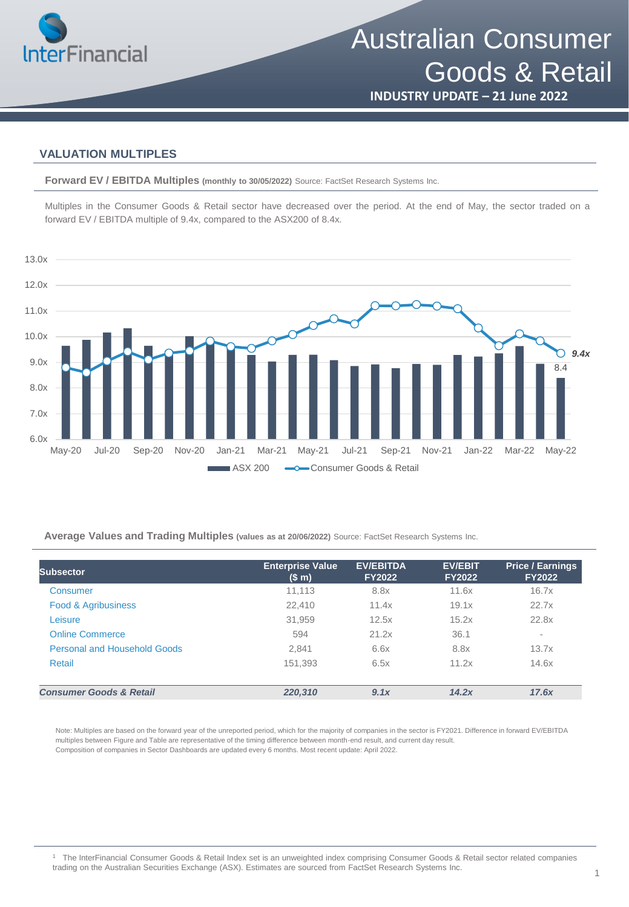

Australian Consumer Goods & Retail

**INDUSTRY UPDATE – 21 June 2022**

### **VALUATION MULTIPLES**

**Forward EV / EBITDA Multiples (monthly to 30/05/2022)** Source: FactSet Research Systems Inc.

Multiples in the Consumer Goods & Retail sector have decreased over the period. At the end of May, the sector traded on a forward EV / EBITDA multiple of 9.4x, compared to the ASX200 of 8.4x.



**Average Values and Trading Multiples (values as at 20/06/2022)** Source: FactSet Research Systems Inc.

| <b>Subsector</b>                   | <b>Enterprise Value</b><br>(S <sub>m</sub> ) | <b>EV/EBITDA</b><br><b>FY2022</b> | <b>EV/EBIT</b><br><b>FY2022</b> | <b>Price / Earnings</b><br><b>FY2022</b> |
|------------------------------------|----------------------------------------------|-----------------------------------|---------------------------------|------------------------------------------|
| Consumer                           | 11,113                                       | 8.8x                              | 11.6x                           | 16.7x                                    |
| <b>Food &amp; Agribusiness</b>     | 22.410                                       | 11.4x                             | 19.1x                           | 22.7x                                    |
| Leisure                            | 31,959                                       | 12.5x                             | 15.2x                           | 22.8x                                    |
| <b>Online Commerce</b>             | 594                                          | 21.2x                             | 36.1                            | ٠                                        |
| Personal and Household Goods       | 2,841                                        | 6.6x                              | 8.8x                            | 13.7x                                    |
| Retail                             | 151,393                                      | 6.5x                              | 11.2x                           | 14.6x                                    |
| <b>Consumer Goods &amp; Retail</b> | 220,310                                      | 9.1x                              | 14.2x                           | 17.6x                                    |

Note: Multiples are based on the forward year of the unreported period, which for the majority of companies in the sector is FY2021. Difference in forward EV/EBITDA multiples between Figure and Table are representative of the timing difference between month-end result, and current day result. Composition of companies in Sector Dashboards are updated every 6 months. Most recent update: April 2022.

<sup>1</sup> The InterFinancial Consumer Goods & Retail Index set is an unweighted index comprising Consumer Goods & Retail sector related companies trading on the Australian Securities Exchange (ASX). Estimates are sourced from FactSet Research Systems Inc.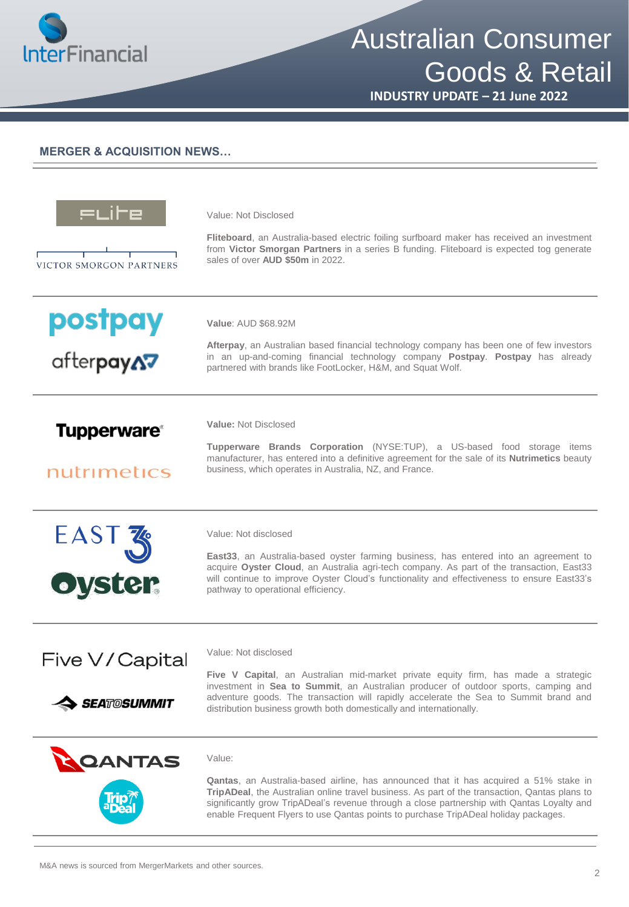

## Australian Consumer Goods & Retail

**INDUSTRY UPDATE – 21 June 2022**

#### **MERGER & ACQUISITION NEWS…**

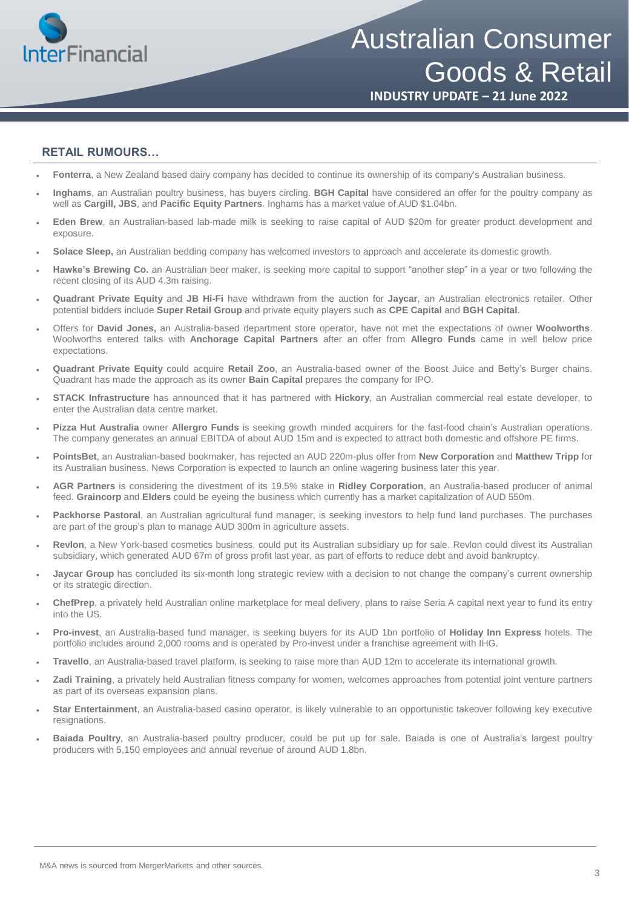

# Australian Consumer Goods & Retail

**INDUSTRY UPDATE – 21 June 2022**

### **RETAIL RUMOURS…**

- **Fonterra**, a New Zealand based dairy company has decided to continue its ownership of its company's Australian business.
- **Inghams**, an Australian poultry business, has buyers circling. **BGH Capital** have considered an offer for the poultry company as well as **Cargill, JBS**, and **Pacific Equity Partners**. Inghams has a market value of AUD \$1.04bn.
- **Eden Brew**, an Australian-based lab-made milk is seeking to raise capital of AUD \$20m for greater product development and exposure.
- **Solace Sleep,** an Australian bedding company has welcomed investors to approach and accelerate its domestic growth.
- **Hawke's Brewing Co.** an Australian beer maker, is seeking more capital to support "another step" in a year or two following the recent closing of its AUD 4.3m raising.
- **Quadrant Private Equity** and **JB Hi-Fi** have withdrawn from the auction for **Jaycar**, an Australian electronics retailer. Other potential bidders include **Super Retail Group** and private equity players such as **CPE Capital** and **BGH Capital**.
- Offers for **David Jones,** an Australia-based department store operator, have not met the expectations of owner **Woolworths**. Woolworths entered talks with **Anchorage Capital Partners** after an offer from **Allegro Funds** came in well below price expectations.
- **Quadrant Private Equity** could acquire **Retail Zoo**, an Australia-based owner of the Boost Juice and Betty's Burger chains. Quadrant has made the approach as its owner **Bain Capital** prepares the company for IPO.
- **STACK Infrastructure** has announced that it has partnered with **Hickory**, an Australian commercial real estate developer, to enter the Australian data centre market.
- **Pizza Hut Australia** owner **Allergro Funds** is seeking growth minded acquirers for the fast-food chain's Australian operations. The company generates an annual EBITDA of about AUD 15m and is expected to attract both domestic and offshore PE firms.
- **PointsBet**, an Australian-based bookmaker, has rejected an AUD 220m-plus offer from **New Corporation** and **Matthew Tripp** for its Australian business. News Corporation is expected to launch an online wagering business later this year.
- **AGR Partners** is considering the divestment of its 19.5% stake in **Ridley Corporation**, an Australia-based producer of animal feed. **Graincorp** and **Elders** could be eyeing the business which currently has a market capitalization of AUD 550m.
- **Packhorse Pastoral**, an Australian agricultural fund manager, is seeking investors to help fund land purchases. The purchases are part of the group's plan to manage AUD 300m in agriculture assets.
- **Revlon**, a New York-based cosmetics business, could put its Australian subsidiary up for sale. Revlon could divest its Australian subsidiary, which generated AUD 67m of gross profit last year, as part of efforts to reduce debt and avoid bankruptcy.
- **Jaycar Group** has concluded its six-month long strategic review with a decision to not change the company's current ownership or its strategic direction.
- **ChefPrep**, a privately held Australian online marketplace for meal delivery, plans to raise Seria A capital next year to fund its entry into the US.
- **Pro-invest**, an Australia-based fund manager, is seeking buyers for its AUD 1bn portfolio of **Holiday Inn Express** hotels. The portfolio includes around 2,000 rooms and is operated by Pro-invest under a franchise agreement with IHG.
- **Travello**, an Australia-based travel platform, is seeking to raise more than AUD 12m to accelerate its international growth.
- **Zadi Training**, a privately held Australian fitness company for women, welcomes approaches from potential joint venture partners as part of its overseas expansion plans.
- **Star Entertainment**, an Australia-based casino operator, is likely vulnerable to an opportunistic takeover following key executive resignations.
- **Baiada Poultry**, an Australia-based poultry producer, could be put up for sale. Baiada is one of Australia's largest poultry producers with 5,150 employees and annual revenue of around AUD 1.8bn.